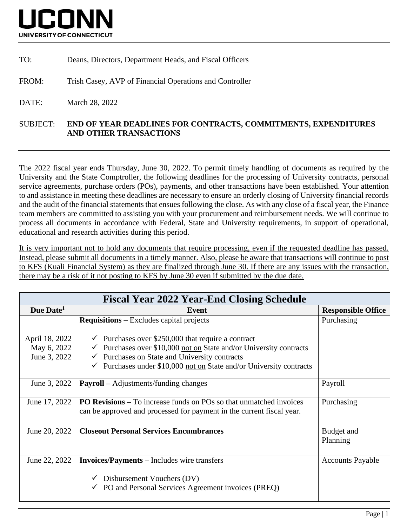

TO: Deans, Directors, Department Heads, and Fiscal Officers

FROM: Trish Casey, AVP of Financial Operations and Controller

DATE: March 28, 2022

## SUBJECT: **END OF YEAR DEADLINES FOR CONTRACTS, COMMITMENTS, EXPENDITURES AND OTHER TRANSACTIONS**

The 2022 fiscal year ends Thursday, June 30, 2022. To permit timely handling of documents as required by the University and the State Comptroller, the following deadlines for the processing of University contracts, personal service agreements, purchase orders (POs), payments, and other transactions have been established. Your attention to and assistance in meeting these deadlines are necessary to ensure an orderly closing of University financial records and the audit of the financial statements that ensues following the close. As with any close of a fiscal year, the Finance team members are committed to assisting you with your procurement and reimbursement needs. We will continue to process all documents in accordance with Federal, State and University requirements, in support of operational, educational and research activities during this period.

It is very important not to hold any documents that require processing, even if the requested deadline has passed. Instead, please submit all documents in a timely manner. Also, please be aware that transactions will continue to post to KFS (Kuali Financial System) as they are finalized through June 30. If there are any issues with the transaction, there may be a risk of it not posting to KFS by June 30 even if submitted by the due date.

| <b>Fiscal Year 2022 Year-End Closing Schedule</b> |                                                                                                                                                                                                                                                                                                                                                 |                           |  |  |
|---------------------------------------------------|-------------------------------------------------------------------------------------------------------------------------------------------------------------------------------------------------------------------------------------------------------------------------------------------------------------------------------------------------|---------------------------|--|--|
| Due Date <sup>1</sup>                             | Event                                                                                                                                                                                                                                                                                                                                           | <b>Responsible Office</b> |  |  |
| April 18, 2022<br>May 6, 2022<br>June 3, 2022     | <b>Requisitions</b> – Excludes capital projects<br>$\checkmark$ Purchases over \$250,000 that require a contract<br>$\checkmark$ Purchases over \$10,000 not on State and/or University contracts<br>$\checkmark$ Purchases on State and University contracts<br>$\checkmark$ Purchases under \$10,000 not on State and/or University contracts | Purchasing                |  |  |
| June 3, 2022                                      | <b>Payroll</b> – Adjustments/funding changes                                                                                                                                                                                                                                                                                                    | Payroll                   |  |  |
| June 17, 2022                                     | <b>PO Revisions – To increase funds on POs so that unmatched invoices</b><br>can be approved and processed for payment in the current fiscal year.                                                                                                                                                                                              | Purchasing                |  |  |
| June 20, 2022                                     | <b>Closeout Personal Services Encumbrances</b>                                                                                                                                                                                                                                                                                                  | Budget and<br>Planning    |  |  |
| June 22, 2022                                     | <b>Invoices/Payments – Includes wire transfers</b><br>Disbursement Vouchers (DV)<br>$\checkmark$ PO and Personal Services Agreement invoices (PREQ)                                                                                                                                                                                             | <b>Accounts Payable</b>   |  |  |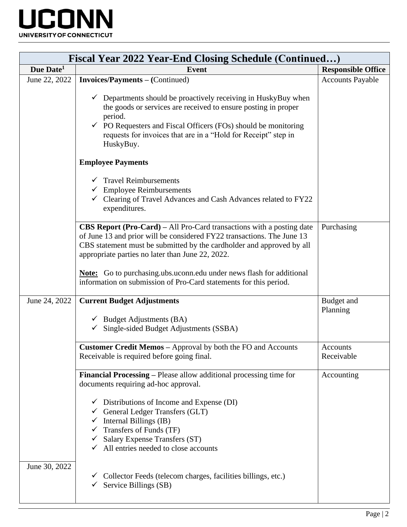

| <b>Fiscal Year 2022 Year-End Closing Schedule (Continued)</b> |                                                                                                                                                                                                                                                                                                                    |                           |  |  |
|---------------------------------------------------------------|--------------------------------------------------------------------------------------------------------------------------------------------------------------------------------------------------------------------------------------------------------------------------------------------------------------------|---------------------------|--|--|
| Due Date <sup>1</sup>                                         | <b>Event</b>                                                                                                                                                                                                                                                                                                       | <b>Responsible Office</b> |  |  |
| June 22, 2022                                                 | <b>Invoices/Payments – (Continued)</b>                                                                                                                                                                                                                                                                             | <b>Accounts Payable</b>   |  |  |
|                                                               | $\checkmark$ Departments should be proactively receiving in HuskyBuy when<br>the goods or services are received to ensure posting in proper<br>period.<br>$\checkmark$ PO Requesters and Fiscal Officers (FOs) should be monitoring<br>requests for invoices that are in a "Hold for Receipt" step in<br>HuskyBuy. |                           |  |  |
|                                                               | <b>Employee Payments</b>                                                                                                                                                                                                                                                                                           |                           |  |  |
|                                                               | $\checkmark$ Travel Reimbursements<br>$\checkmark$ Employee Reimbursements<br>$\checkmark$ Clearing of Travel Advances and Cash Advances related to FY22<br>expenditures.                                                                                                                                          |                           |  |  |
|                                                               | CBS Report (Pro-Card) – All Pro-Card transactions with a posting date<br>of June 13 and prior will be considered FY22 transactions. The June 13<br>CBS statement must be submitted by the cardholder and approved by all<br>appropriate parties no later than June 22, 2022.                                       | Purchasing                |  |  |
|                                                               | <b>Note:</b> Go to purchasing ubs uconnedu under news flash for additional<br>information on submission of Pro-Card statements for this period.                                                                                                                                                                    |                           |  |  |
| June 24, 2022                                                 | <b>Current Budget Adjustments</b><br>$\checkmark$ Budget Adjustments (BA)<br>Single-sided Budget Adjustments (SSBA)                                                                                                                                                                                                | Budget and<br>Planning    |  |  |
|                                                               | <b>Customer Credit Memos – Approval by both the FO and Accounts</b><br>Receivable is required before going final.                                                                                                                                                                                                  | Accounts<br>Receivable    |  |  |
|                                                               | <b>Financial Processing – Please allow additional processing time for</b><br>documents requiring ad-hoc approval.                                                                                                                                                                                                  | Accounting                |  |  |
|                                                               | $\checkmark$ Distributions of Income and Expense (DI)<br>$\checkmark$ General Ledger Transfers (GLT)<br>$\checkmark$ Internal Billings (IB)<br>$\checkmark$ Transfers of Funds (TF)<br>$\checkmark$ Salary Expense Transfers (ST)<br>$\checkmark$ All entries needed to close accounts                             |                           |  |  |
| June 30, 2022                                                 | Collector Feeds (telecom charges, facilities billings, etc.)<br>Service Billings (SB)<br>$\checkmark$                                                                                                                                                                                                              |                           |  |  |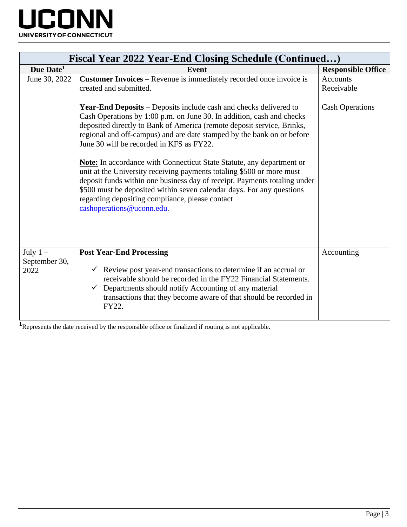

| <b>Fiscal Year 2022 Year-End Closing Schedule (Continued)</b> |                                                                                                                                                                                                                                                                                                                                                                                                                                                                                                                                                                                                                                                                                                                                                  |                           |  |  |
|---------------------------------------------------------------|--------------------------------------------------------------------------------------------------------------------------------------------------------------------------------------------------------------------------------------------------------------------------------------------------------------------------------------------------------------------------------------------------------------------------------------------------------------------------------------------------------------------------------------------------------------------------------------------------------------------------------------------------------------------------------------------------------------------------------------------------|---------------------------|--|--|
| Due Date <sup>1</sup>                                         | Event                                                                                                                                                                                                                                                                                                                                                                                                                                                                                                                                                                                                                                                                                                                                            | <b>Responsible Office</b> |  |  |
| June 30, 2022                                                 | <b>Customer Invoices – Revenue is immediately recorded once invoice is</b>                                                                                                                                                                                                                                                                                                                                                                                                                                                                                                                                                                                                                                                                       | <b>Accounts</b>           |  |  |
|                                                               | created and submitted.                                                                                                                                                                                                                                                                                                                                                                                                                                                                                                                                                                                                                                                                                                                           | Receivable                |  |  |
|                                                               | <b>Year-End Deposits – Deposits include cash and checks delivered to</b><br>Cash Operations by 1:00 p.m. on June 30. In addition, cash and checks<br>deposited directly to Bank of America (remote deposit service, Brinks,<br>regional and off-campus) and are date stamped by the bank on or before<br>June 30 will be recorded in KFS as FY22.<br><b>Note:</b> In accordance with Connecticut State Statute, any department or<br>unit at the University receiving payments totaling \$500 or more must<br>deposit funds within one business day of receipt. Payments totaling under<br>\$500 must be deposited within seven calendar days. For any questions<br>regarding depositing compliance, please contact<br>cashoperations@uconn.edu. | <b>Cash Operations</b>    |  |  |
| July $1-$                                                     | <b>Post Year-End Processing</b>                                                                                                                                                                                                                                                                                                                                                                                                                                                                                                                                                                                                                                                                                                                  | Accounting                |  |  |
| September 30,                                                 |                                                                                                                                                                                                                                                                                                                                                                                                                                                                                                                                                                                                                                                                                                                                                  |                           |  |  |
| 2022                                                          | $\checkmark$ Review post year-end transactions to determine if an accrual or<br>receivable should be recorded in the FY22 Financial Statements.<br>Departments should notify Accounting of any material<br>transactions that they become aware of that should be recorded in<br>FY22.                                                                                                                                                                                                                                                                                                                                                                                                                                                            |                           |  |  |

**1** Represents the date received by the responsible office or finalized if routing is not applicable.